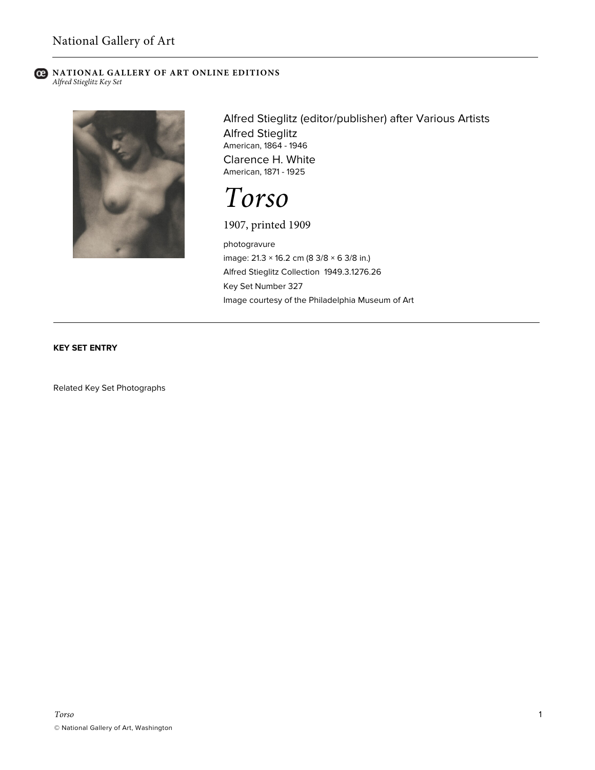#### **C** NATIONAL GALLERY OF ART ONLINE EDITIONS *Alfred Stieglitz Key Set*



Alfred Stieglitz (editor/publisher) after Various Artists Alfred Stieglitz American, 1864 - 1946 Clarence H. White American, 1871 - 1925

# *Torso*

### 1907, printed 1909

photogravure image: 21.3 × 16.2 cm (8 3/8 × 6 3/8 in.) Alfred Stieglitz Collection 1949.3.1276.26 Key Set Number 327 Image courtesy of the Philadelphia Museum of Art

#### **KEY SET ENTRY**

Related Key Set Photographs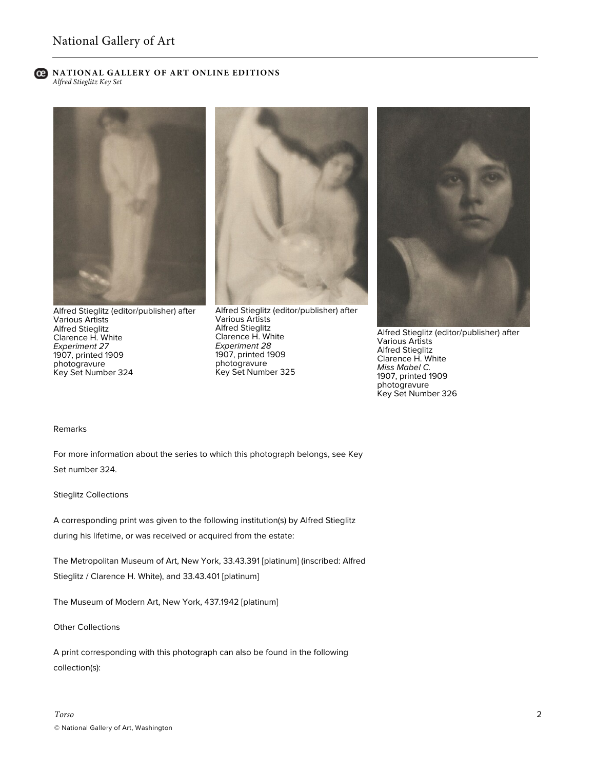#### **C** NATIONAL GALLERY OF ART ONLINE EDITIONS *Alfred Stieglitz Key Set*



Alfred Stieglitz (editor/publisher) after Various Artists Alfred Stieglitz Clarence H. White *Experiment 27* 1907, printed 1909 photogravure Key Set Number 324



Alfred Stieglitz (editor/publisher) after Various Artists Alfred Stieglitz Clarence H. White *Experiment 28* 1907, printed 1909 photogravure Key Set Number 325



Alfred Stieglitz (editor/publisher) after Various Artists Alfred Stieglitz Clarence H. White *Miss Mabel C.* 1907, printed 1909 photogravure Key Set Number 326

#### Remarks

For more information about the series to which this photograph belongs, see Key Set number 324.

Stieglitz Collections

A corresponding print was given to the following institution(s) by Alfred Stieglitz during his lifetime, or was received or acquired from the estate:

The Metropolitan Museum of Art, New York, 33.43.391 [platinum] (inscribed: Alfred Stieglitz / Clarence H. White), and 33.43.401 [platinum]

The Museum of Modern Art, New York, 437.1942 [platinum]

Other Collections

A print corresponding with this photograph can also be found in the following collection(s):